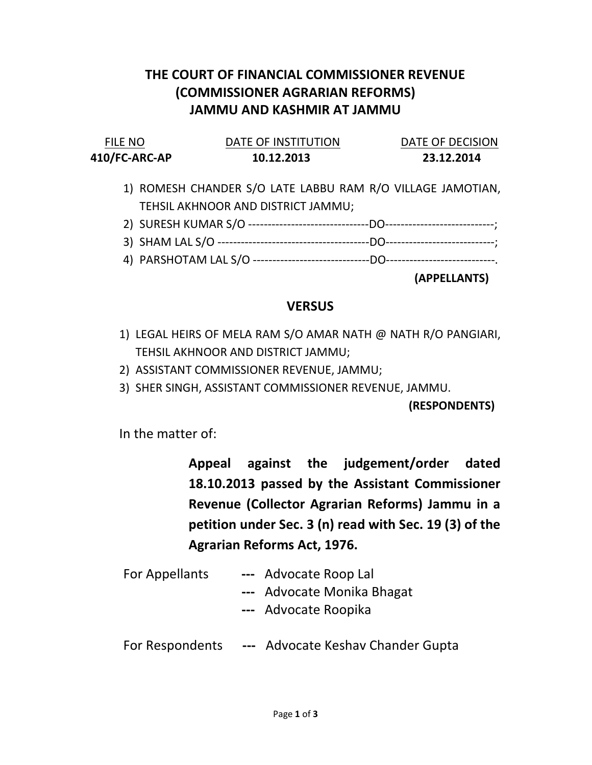## THE COURT OF FINANCIAL COMMISSIONER REVENUE (COMMISSIONER AGRARIAN REFORMS) JAMMU AND KASHMIR AT JAMMU

| <b>FILE NO</b> | DATE OF INSTITUTION | DATE OF DECISION |
|----------------|---------------------|------------------|
| 410/FC-ARC-AP  | 10.12.2013          | 23.12.2014       |

- 1) ROMESH CHANDER S/O LATE LABBU RAM R/O VILLAGE JAMOTIAN, TEHSIL AKHNOOR AND DISTRICT JAMMU;
- 2) SURESH KUMAR S/O -------------------------------DO----------------------------;
- 3) SHAM LAL S/O ---------------------------------------DO----------------------------;
- 4) PARSHOTAM LAL S/O ------------------------------DO----------------------------.

(APPELLANTS)

## **VERSUS**

- 1) LEGAL HEIRS OF MELA RAM S/O AMAR NATH @ NATH R/O PANGIARI, TEHSIL AKHNOOR AND DISTRICT JAMMU;
- 2) ASSISTANT COMMISSIONER REVENUE, JAMMU;
- 3) SHER SINGH, ASSISTANT COMMISSIONER REVENUE, JAMMU.

(RESPONDENTS)

In the matter of:

Appeal against the judgement/order dated 18.10.2013 passed by the Assistant Commissioner Revenue (Collector Agrarian Reforms) Jammu in a petition under Sec. 3 (n) read with Sec. 19 (3) of the Agrarian Reforms Act, 1976.

- For Appellants --- Advocate Roop Lal
	- --- Advocate Monika Bhagat
	- --- Advocate Roopika
- For Respondents --- Advocate Keshav Chander Gupta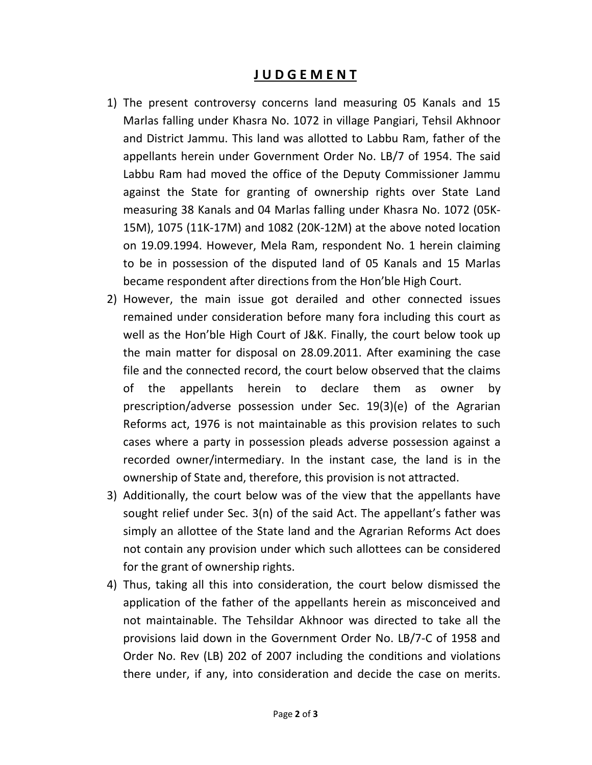## J U D G E M E N T

- 1) The present controversy concerns land measuring 05 Kanals and 15 Marlas falling under Khasra No. 1072 in village Pangiari, Tehsil Akhnoor and District Jammu. This land was allotted to Labbu Ram, father of the appellants herein under Government Order No. LB/7 of 1954. The said Labbu Ram had moved the office of the Deputy Commissioner Jammu against the State for granting of ownership rights over State Land measuring 38 Kanals and 04 Marlas falling under Khasra No. 1072 (05K-15M), 1075 (11K-17M) and 1082 (20K-12M) at the above noted location on 19.09.1994. However, Mela Ram, respondent No. 1 herein claiming to be in possession of the disputed land of 05 Kanals and 15 Marlas became respondent after directions from the Hon'ble High Court.
- 2) However, the main issue got derailed and other connected issues remained under consideration before many fora including this court as well as the Hon'ble High Court of J&K. Finally, the court below took up the main matter for disposal on 28.09.2011. After examining the case file and the connected record, the court below observed that the claims of the appellants herein to declare them as owner by prescription/adverse possession under Sec. 19(3)(e) of the Agrarian Reforms act, 1976 is not maintainable as this provision relates to such cases where a party in possession pleads adverse possession against a recorded owner/intermediary. In the instant case, the land is in the ownership of State and, therefore, this provision is not attracted.
- 3) Additionally, the court below was of the view that the appellants have sought relief under Sec. 3(n) of the said Act. The appellant's father was simply an allottee of the State land and the Agrarian Reforms Act does not contain any provision under which such allottees can be considered for the grant of ownership rights.
- 4) Thus, taking all this into consideration, the court below dismissed the application of the father of the appellants herein as misconceived and not maintainable. The Tehsildar Akhnoor was directed to take all the provisions laid down in the Government Order No. LB/7-C of 1958 and Order No. Rev (LB) 202 of 2007 including the conditions and violations there under, if any, into consideration and decide the case on merits.